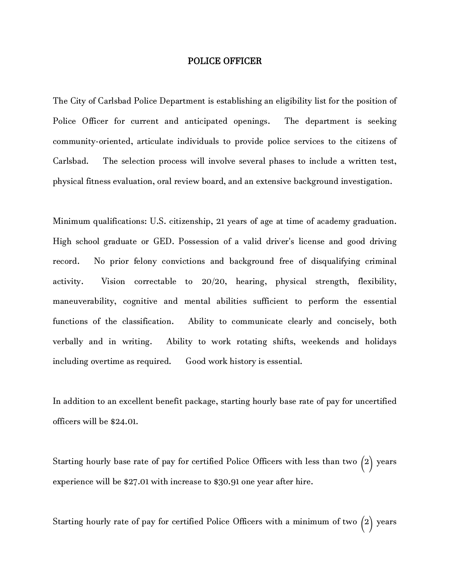## POLICE OFFICER

The City of Carlsbad Police Department is establishing an eligibility list for the position of Police Officer for current and anticipated openings. The department is seeking community-oriented, articulate individuals to provide police services to the citizens of Carlsbad. The selection process will involve several phases to include a written test, physical fitness evaluation, oral review board, and an extensive background investigation.

Minimum qualifications: U.S. citizenship, 21 years of age at time of academy graduation. High school graduate or GED. Possession of a valid driver's license and good driving record. No prior felony convictions and background free of disqualifying criminal activity. Vision correctable to 20/20, hearing, physical strength, flexibility, maneuverability, cognitive and mental abilities sufficient to perform the essential functions of the classification. Ability to communicate clearly and concisely, both verbally and in writing. Ability to work rotating shifts, weekends and holidays including overtime as required. Good work history is essential.

In addition to an excellent benefit package, starting hourly base rate of pay for uncertified officers will be \$24.01.

Starting hourly base rate of pay for certified Police Officers with less than two (2) years experience will be \$27.01 with increase to \$30.91 one year after hire.

Starting hourly rate of pay for certified Police Officers with a minimum of two (2) years